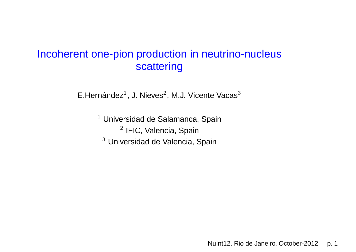# Incoherent one-pion production in neutrino-nucleusscattering

E.Hernández $^1$ , J. Nieves $^2$ , M.J. Vicente Vacas $^3$ 

 $1$  Universidad de Salamanca, Spain  $^2$  IFIC, Valencia, Spain  $^3$  Universidad de Valencia, Spain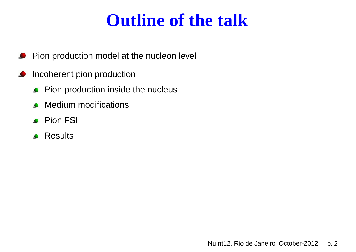# **Outline of the talk**

- Pion production model at the nucleon level  $\bullet$
- Incoherent pion productionL
	- **Pion production inside the nucleus**
	- **C** Medium modifications
	- **Pion FSI**
	- **P** Results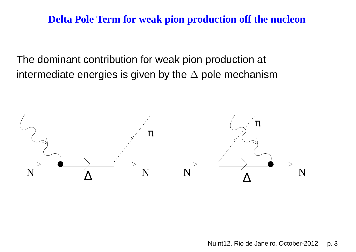#### **Delta Pole Term for weak pion production off the nucleon**

The dominant contribution for weak pion production at intermediate energies is given by the  $\Delta$  pole mechanism

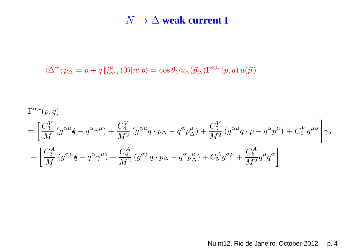# $N \rightarrow \Delta$  **weak** current **I**

$$
\langle \Delta^+; p_\Delta = p + q | j^\mu_{cc+}(0) | n; p \rangle = \cos \theta_C \bar{u}_\alpha(\vec{p}_\Delta) \Gamma^{\alpha \mu} (p, q) u(\vec{p})
$$

$$
\Gamma^{\alpha\mu}(p,q)
$$
\n
$$
= \left[\frac{C_3^V}{M} \left(g^{\alpha\mu}\dot{q} - q^{\alpha}\gamma^{\mu}\right) + \frac{C_4^V}{M^2} \left(g^{\alpha\mu}q \cdot p\Delta - q^{\alpha}p^{\mu}_{\Delta}\right) + \frac{C_5^V}{M^2} \left(g^{\alpha\mu}q \cdot p - q^{\alpha}p^{\mu}\right) + C_6^V g^{\mu\alpha}\right]\gamma_5
$$
\n
$$
+ \left[\frac{C_3^A}{M} \left(g^{\alpha\mu}\dot{q} - q^{\alpha}\gamma^{\mu}\right) + \frac{C_4^A}{M^2} \left(g^{\alpha\mu}q \cdot p\Delta - q^{\alpha}p^{\mu}_{\Delta}\right) + C_5^Ag^{\alpha\mu} + \frac{C_6^A}{M^2}q^{\mu}q^{\alpha}\right]
$$

NuInt12. Rio de Janeiro, October-2012 – p. 4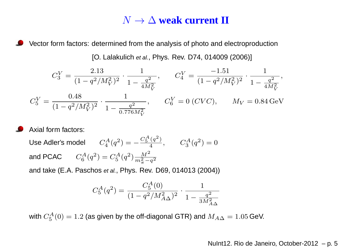# $N \rightarrow \Delta$  **weak** current **II**

Vector form factors: determined from the analysis of photo and electroproduction

[O. Lalakulich *et al.*, Phys. Rev. D74, 014009 (2006)]

$$
C_3^V = \frac{2.13}{(1 - q^2/M_V^2)^2} \cdot \frac{1}{1 - \frac{q^2}{4M_V^2}}, \qquad C_4^V = \frac{-1.51}{(1 - q^2/M_V^2)^2} \cdot \frac{1}{1 - \frac{q^2}{4M_V^2}},
$$
  

$$
C_5^V = \frac{0.48}{(1 - q^2/M_V^2)^2} \cdot \frac{1}{1 - \frac{q^2}{0.776M_V^2}}, \qquad C_6^V = 0 \ (CVC), \qquad M_V = 0.84 \text{ GeV}
$$

Axial form factors:

Use Adler's model  $C_4^A(q^2) = -\frac{C_5^A(q^2)}{4}, \qquad C_3^A(q^2) = 0$ and PCAC  $C_6^A(q^2) = C_5^A(q^2) \frac{M^2}{m_{\pi}^2 - q^2}$ 

and take (E.A. Paschos *et al.*, Phys. Rev. D69, 014013 (2004))

$$
C_5^A(q^2) = \frac{C_5^A(0)}{(1 - q^2/M_{A\Delta}^2)^2} \cdot \frac{1}{1 - \frac{q^2}{3M_{A\Delta}^2}}
$$

with  $C_5^A(0) = 1.2$  (as given by the off-diagonal GTR) and  $M_{A\Delta} = 1.05$  GeV.

#### NuInt12. Rio de Janeiro, October-2012 – p. <sup>5</sup>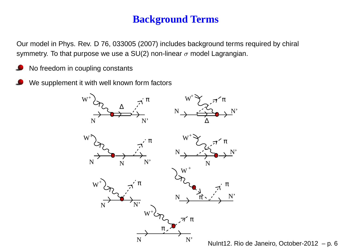# **Background Terms**

Our model in Phys. Rev. D 76, 033005 (2007) includes background terms required by chiral symmetry. To that purpose we use a SU(2) non-linear  $\sigma$  model Lagrangian.

- No freedom in coupling constants
- We supplement it with well known form factors

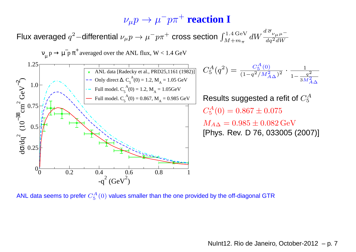# $\nu_\mu p \to \mu^-p\pi^+$  **reaction I**

Flux averaged  $q^2-$ differential  $\nu_\mu p \rightarrow$  $\rightarrow \mu^-p\pi^+$  cross section  $\int_{M+m_\pi}^{1.4\,\text{GeV}} dW \frac{d\,\overline{\sigma}_{\nu_\mu\mu^-}}{dq^2dW}$ 



ANL data seems to prefer  $C_5^A(0)$  values smaller than the one provided by the off-diagonal GTR

NuInt12. Rio de Janeiro, October-2012 – p. 7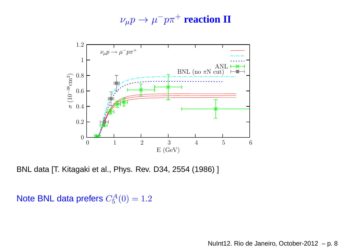$\nu_\mu p \to \mu^-p\pi^+$  **reaction**  ${\bf H}$ 



BNL data [T. Kitagaki et al., Phys. Rev. D34, 2554 (1986) ]

Note BNL data prefers  $C_5^A(0) = 1.2$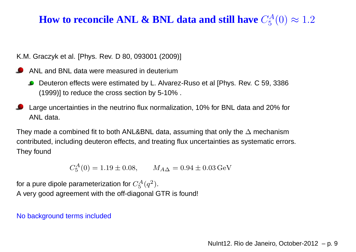#### **How to reconcile ANL & BNL data and still have**  $C_5^A$ 5 $_{5}^{\prime A}(0)\approx 1.2$

K.M. Graczyk et al. [Phys. Rev. D 80, 093001 (2009)]

- ANL and BNL data were measured in deuterium
	- Deuteron effects were estimated by L. Alvarez-Ruso et al [Phys. Rev. C 59, 3386 $\bullet$ (1999)] to reduce the cross section by 5-10% .
- Large uncertainties in the neutrino flux normalization, 10% for BNL data and 20% forANL data.

They made <sup>a</sup> combined fit to both ANL&BNL data, assuming that only the∆ mechanism contributed, including deuteron effects, and treating flux uncertainties as systematic errors. They found

> $C^A_\varepsilon$  $J_5^A(0) = 1.19 \pm 0.08, \qquad M_{A\Delta} = 0.94 \pm 0.03 \,\text{GeV}$

for a pure dipole parameterization for  $C_5^A$  A very good agreement with the off-diagonal GTR is found!  $^A_5(q^2$  $^{2}).$ 

No background terms included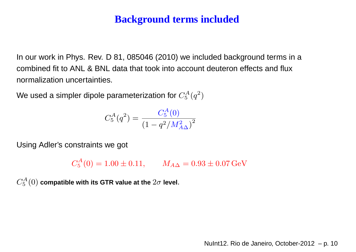### **Background terms included**

In our work in Phys. Rev. D 81, 085046 (2010) we included background terms in <sup>a</sup>combined fit to ANL & BNL data that took into account deuteron effects and fluxnormalization uncertainties.

We used a simpler dipole parameterization for  $C_5^A$  $\binom{A}{5}$  $\left(q^2\right)$  $^{2})$ 

$$
C_5^A(q^2) = \frac{C_5^A(0)}{\left(1-q^2/M_{A\Delta}^2\right)^2}
$$

Using Adler's constraints we got

 $C^A_{\bf \bar{5}}$ 5 $M_{A\Delta}^{A}(0) = 1.00 \pm 0.11, \qquad M_{A\Delta} = 0.93 \pm 0.07 \,\mathrm{GeV}$ 

 $C^A_{\bf \bar{5}}$  $\mathcal{L}_5^{A}(0)$  compatible with its GTR value at the  $2\sigma$  level.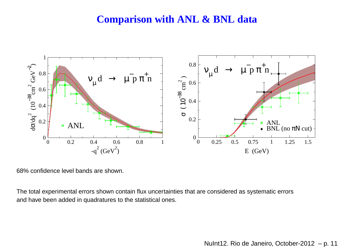#### **Comparison with ANL & BNL data**



68% confidence level bands are shown.

The total experimental errors shown contain flux uncertainties that are considered as systematic errorsand have been added in quadratures to the statistical ones.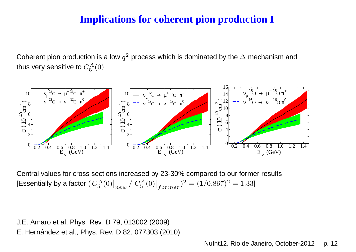## **Implications for coherent pion production I**

Coherent pion production is a low  $q^2$  process which is dominated by the  $\Delta$  mechanism and<br>'' thus very sensitive to  $C_5^A$  $l_{5}^{A}(0)$ 



Central values for cross sections increased by 23-30% compared to our former results[Essentially by a factor (  $C_5^A$  $\binom{A}{5}(0)$  $\big|_{new}$  /  $C_5^A$  $\binom{A}{5}(0)$  $\big|_{former}$ )<sup>2</sup> = (1/0.867)<sup>2</sup> = 1.33]

J.E. Amaro et al, Phys. Rev. D 79, 013002 (2009)E. Hernández et al., Phys. Rev. D 82, 077303 (2010)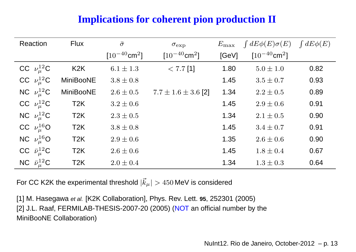# **Implications for coherent pion production II**

| <b>Reaction</b>           | <b>Flux</b>      | $\bar{\sigma}$                | $\sigma_{\rm exp}$            | $E_{\rm max}$ | $\int dE \phi(E) \sigma(E)$   | $\int dE \phi(E)$ |
|---------------------------|------------------|-------------------------------|-------------------------------|---------------|-------------------------------|-------------------|
|                           |                  | $[10^{-40}$ cm <sup>2</sup> ] | $[10^{-40}$ cm <sup>2</sup> ] | [GeV]         | $[10^{-40}$ cm <sup>2</sup> ] |                   |
| CC $\nu_{\mu}^{12}$ C     | K <sub>2</sub> K | $6.1 \pm 1.3$                 | $< 7.7$ [1]                   | 1.80          | $5.0 \pm 1.0$                 | 0.82              |
| CC $\nu_{\mu}^{12}C$      | <b>MiniBooNE</b> | $3.8 \pm 0.8$                 |                               | 1.45          | $3.5 \pm 0.7$                 | 0.93              |
| NC $\nu_{\mu}^{12}C$      | <b>MiniBooNE</b> | $2.6 \pm 0.5$                 | $7.7 \pm 1.6 \pm 3.6$ [2]     | 1.34          | $2.2 \pm 0.5$                 | 0.89              |
| CC $\nu_{\mu}^{12}$ C     | T <sub>2</sub> K | $3.2 \pm 0.6$                 |                               | 1.45          | $2.9 \pm 0.6$                 | 0.91              |
| NC $\nu_{\mu}^{12}$ C     | T <sub>2</sub> K | $2.3 \pm 0.5$                 |                               | 1.34          | $2.1 \pm 0.5$                 | 0.90              |
| CC $\nu_{\mu}^{16}$ O     | T <sub>2</sub> K | $3.8 \pm 0.8$                 |                               | 1.45          | $3.4 \pm 0.7$                 | 0.91              |
| NC $\nu_{\mu}^{16}$ O     | T <sub>2</sub> K | $2.9 \pm 0.6$                 |                               | 1.35          | $2.6 \pm 0.6$                 | 0.90              |
| CC $\bar{\nu}_\mu^{12}$ C | T <sub>2</sub> K | $2.6 \pm 0.6$                 |                               | 1.45          | $1.8 \pm 0.4$                 | 0.67              |
| NC $\bar{\nu}_\mu^{12}$ C | T <sub>2</sub> K | $2.0 \pm 0.4$                 |                               | 1.34          | $1.3 \pm 0.3$                 | 0.64              |

For CC K2K the experimental threshold  $|\vec{k}_{\mu}| > 450\,\text{MeV}$  is considered

[1] M. Hasegawa et al. [K2K Collaboration], Phys. Rev. Lett. **<sup>95</sup>**, <sup>252301</sup> (2005) [2] J.L. Raaf, FERMILAB-THESIS-2007-20 (2005) (<mark>NOT</mark> an official number by the MiniBooNE Collaboration)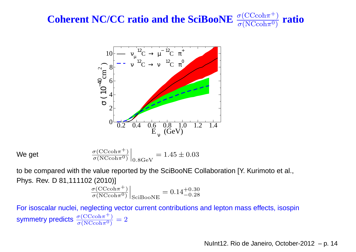#### **Coherent NC/CC ratio and the SciBooNE** $\sigma$ (CCcoh π $\frac{\sigma({\rm CCcoh}\pi^+)}{\sigma({\rm NCcoh}\pi^0)}$ **ratio**



We get

$$
\left. \frac{\sigma(\text{CCcoh}\pi^+)}{\sigma(\text{NCcoh}\pi^0)} \right|_{0.8\text{GeV}} = 1.45 \pm 0.03
$$

to be compared with the value reported by the SciBooNE Collaboration [Y. Kurimoto et al., Phys. Rev. D 81,111102 (2010)]

$$
\left. \frac{\sigma(\text{CCcoh}\pi^+)}{\sigma(\text{NCcoh}\pi^0)} \right|_{\text{SciBooNE}} = 0.14^{+0.30}_{-0.28}
$$

For isoscalar nuclei, neglecting vector current contributions and lepton mass effects, isospinsymmetry predicts  $\frac{\sigma({\rm CCcoh})}{\sigma({\rm NCcoh})}$ π $\frac{\sigma({\rm CCcoh}\pi^+)}{\sigma({\rm NCcoh}\pi^0)}=2$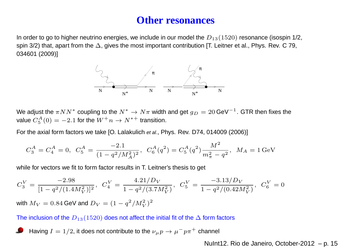#### **Other resonances**

In order to go to higher neutrino energies, we include in our model the  $D_{13}(1520)$  resonance (isospin 1/2, spin 3/2) that, apart from the  $\Delta$ , gives the most important contribution [T. Leitner et al., Phys. Rev. C 79, 034601 (2009)]



We adjust the  $\pi NN^*$  coupling to the  $N^* \to N\pi$  width and get  $g_D = 20$  GeV $^{-1}$ . GTR then fixes the<br>value  $C^A(0) = -2.1$  for the  $W^+ n \to N^{*+}$  transition value  $C_5^A(0) = -2.1$  for the  $W^+ n \to N^{*+}$  transition.

For the axial form factors we take [O. Lalakulich *et al.*, Phys. Rev. D74, 014009 (2006)]

$$
C_3^A = C_4^A = 0, \ \ C_5^A = \frac{-2.1}{(1 - q^2/M_A^2)^2}, \ \ C_6^A(q^2) = C_5^A(q^2) \frac{M^2}{m_\pi^2 - q^2}, \ \ M_A = 1 \,\text{GeV}
$$

while for vectors we fit to form factor results in T. Leitner's thesis to get

$$
C_3^V = \frac{-2.98}{[1 - q^2/(1.4M_V^2)]^2}, \ \ C_4^V = \frac{4.21/D_V}{1 - q^2/(3.7M_V^2)}, \ \ C_5^V = \frac{-3.13/D_V}{1 - q^2/(0.42M_V^2)}, \ \ C_6^V = 0
$$

with  $M_V = 0.84$  GeV and  $D_V = (1 - q^2/M_V^2)^2$ 

The inclusion of the  $D_{13}(1520)$  does not affect the initial fit of the  $\Delta$  form factors

Having  $I=1/2$ , it does not contribute to the  $\nu_{\mu}p\rightarrow\mu^{-}p\pi^{+}$  channel

NuInt12. Rio de Janeiro, October-2012 – p. 15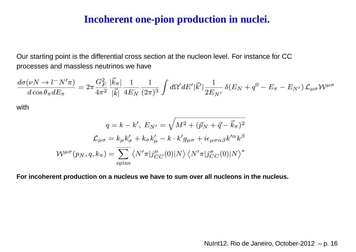#### **Incoherent one-pion production in nuclei.**

Our starting point is the differential cross section at the nucleon level. For instance for CCprocesses and massless neutrinos we have

$$
\frac{d\sigma(\nu N \to l^-N^\prime\pi)}{d\cos\theta_\pi dE_\pi} = 2\pi \frac{G_F^2}{4\pi^2} \frac{|\vec{k}_\pi|}{|\vec{k}|} \frac{1}{4E_N} \frac{1}{(2\pi)^3} \int d\Omega^\prime dE^\prime |\vec{k}^\prime| \frac{1}{2E_{N^\prime}} \delta(E_N + q^0 - E_\pi - E_{N^\prime}) \mathcal{L}_{\mu\sigma} \mathcal{W}^{\mu\sigma}
$$

with

$$
q = k - k', E_{N'} = \sqrt{M^2 + (\vec{p}_N + \vec{q} - \vec{k}_\pi)^2}
$$

$$
\mathcal{L}_{\mu\sigma} = k_\mu k'_\sigma + k_\sigma k'_\mu - k \cdot k' g_{\mu\sigma} + i \epsilon_{\mu\sigma\alpha\beta} k'^\alpha k^\beta
$$

$$
W^{\mu\sigma}(p_N, q, k_\pi) = \overline{\sum_{\text{spins}}} \left\langle N' \pi | j^\mu_{CC}(0) | N \right\rangle \left\langle N' \pi | j^\sigma_{CC}(0) | N \right\rangle^*
$$

For incoherent production on a nucleus we have to sum over all nucleons in the nucleus.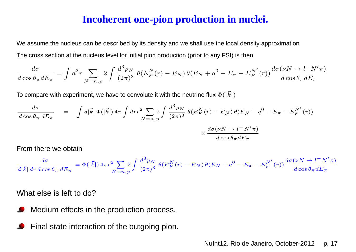#### **Incoherent one-pion production in nuclei.**

We assume the nucleus can be described by its density and we shall use the local density approximationThe cross section at the nucleus level for initial pion production (prior to any FSI) is then

$$
\frac{d\sigma}{d\cos\theta_{\pi}dE_{\pi}} = \int d^3r \sum_{N=n,p} 2\int \frac{d^3p_N}{(2\pi)^3} \ \theta(E_F^N(r) - E_N) \ \theta(E_N + q^0 - E_{\pi} - E_F^{N'}(r)) \frac{d\sigma(\nu N \to l^-N'\pi)}{d\cos\theta_{\pi}dE_{\pi}}
$$

To compare with experiment, we have to convolute it with the neutrino flux  $\Phi(|\vec{k}|)$ 

$$
\frac{d\sigma}{d\cos\theta_{\pi} dE_{\pi}} = \int d|\vec{k}| \Phi(|\vec{k}|) 4\pi \int dr r^2 \sum_{N=n,p} 2 \int \frac{d^3 p_N}{(2\pi)^3} \theta(E_F^N(r) - E_N) \theta(E_N + q^0 - E_{\pi} - E_F^{N'}(r))
$$

$$
\times \frac{d\sigma(\nu N \to l^- N' \pi)}{d\cos\theta_{\pi} dE_{\pi}}
$$

From there we obtain

$$
\frac{d\sigma}{d|\vec{k}| dr d\cos\theta_{\pi} dE_{\pi}} = \Phi(|\vec{k}|) 4\pi r^2 \sum_{N=n,p} 2 \int \frac{d^3p_N}{(2\pi)^3} \theta(E_F^N(r) - E_N) \theta(E_N + q^0 - E_{\pi} - E_F^{N'}(r)) \frac{d\sigma(\nu N \to l^- N'\pi)}{d\cos\theta_{\pi} dE_{\pi}}
$$

What else is left to do?

- Medium effects in the production process.
- Final state interaction of the outgoing pion.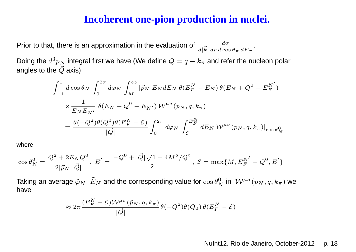#### **Incoherent one-pion production in nuclei.**

Prior to that, there is an approximation in the evaluation of  $\frac{d\sigma}{d|\vec{k}| \, dr \, d\cos\theta_\pi \, dE_\pi}$ .

Doing the  $d^3p_N$  integral first we have (We define  $Q=q-k_\pi$  and refer the angles to the  $\vec{Q}$  axis)  $\frac{3}{2}p_N$  integral first we have (We define  $Q=q-k_\pi$  $_\pi$  and refer the nucleon polar

$$
\int_{-1}^{1} d\cos\theta_N \int_0^{2\pi} d\varphi_N \int_M^{\infty} |\vec{p}_N| E_N dE_N \theta(E_F^N - E_N) \theta(E_N + Q^0 - E_F^{N'})
$$
  

$$
\times \frac{1}{E_N E_{N'}} \delta(E_N + Q^0 - E_{N'}) \mathcal{W}^{\mu\sigma}(p_N, q, k_\pi)
$$
  

$$
= \frac{\theta(-Q^2)\theta(Q^0)\theta(E_F^N - \mathcal{E})}{|\vec{Q}|} \int_0^{2\pi} d\varphi_N \int_{\mathcal{E}}^{E_F^N} dE_N \mathcal{W}^{\mu\sigma}(p_N, q, k_\pi)|_{\cos\theta_N^0}
$$

where

$$
\cos \theta_N^0 = \frac{Q^2 + 2E_N Q^0}{2|\vec{p}_N||\vec{Q}|}, \ E' = \frac{-Q^0 + |\vec{Q}| \sqrt{1 - 4M^2/Q^2}}{2}, \ \mathcal{E} = \max\{M, E_F^{N'} - Q^0, E'\}
$$

Taking an average  $\tilde{\varphi}_N$  $_N$ ,  $\tilde{E}$  $N_N$  and the corresponding value for  $\cos\theta_N^0$  $\,N$  $_{N}^{0}$  in  $\ \mathcal{W}^{\mu \sigma}(p_{N},q,k_{\pi})$  we have

$$
\approx 2\pi \frac{(E_F^N - \mathcal{E})\mathcal{W}^{\mu\sigma}(\tilde{p}_N, q, k_\pi)}{|\vec{Q}|} \theta(-Q^2)\theta(Q_0)\,\theta(E_F^N - \mathcal{E})
$$

n r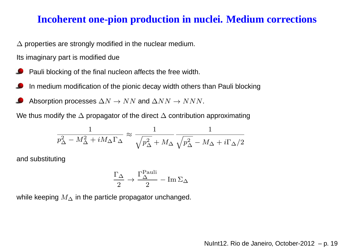#### **Incoherent one-pion production in nuclei. Medium corrections**

 $\Delta$  properties are strongly modified in the nuclear medium.

Its imaginary part is modified due

- Pauli blocking of the final nucleon affects the free width.
- In medium modification of the pionic decay width others than Pauli blocking
- Absorption processes  $\Delta N\to NN$  and  $\Delta NN\to NNN.$

We thus modify the  $\Delta$  propagator of the direct  $\Delta$  contribution approximating

$$
\frac{1}{p_\Delta^2 - M_\Delta^2 + i M_\Delta \Gamma_\Delta} \approx \frac{1}{\sqrt{p_\Delta^2 + M_\Delta}} \frac{1}{\sqrt{p_\Delta^2 - M_\Delta + i \Gamma_\Delta/2}}
$$

and substituting

$$
\frac{\Gamma_{\Delta}}{2} \rightarrow \frac{\Gamma_{\Delta}^{\text{Pauli}}}{2} - \text{Im} \,\Sigma_{\Delta}
$$

while keeping  $M_\Delta$  in the particle propagator unchanged.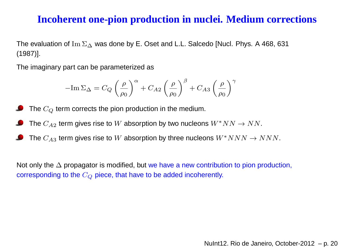### **Incoherent one-pion production in nuclei. Medium corrections**

The evaluation of Im  $\Sigma_\Delta$  was done by E. Oset and L.L. Salcedo [Nucl. Phys. A 468, 631<br>′4097`` (1987)].

The imaginary part can be parameterized as

$$
-\mathrm{Im}\,\Sigma_{\Delta}=C_Q\left(\frac{\rho}{\rho_0}\right)^{\alpha}+C_{A2}\left(\frac{\rho}{\rho_0}\right)^{\beta}+C_{A3}\left(\frac{\rho}{\rho_0}\right)^{\gamma}
$$

The  $C_Q$  term corrects the pion production in the medium.

- The  $C_{A2}$  term gives rise to  $W$  absorption by two nucleons  $W^*NN\to NN.$
- The  $C_{A3}$  term gives rise to  $W$  absorption by three nucleons  $W^*NNN \rightarrow NNN.$

Not only the∆ propagator is modified, but we have <sup>a</sup> new contribution to pion production, corresponding to the  $C_Q$  piece, that have to be added incoherently.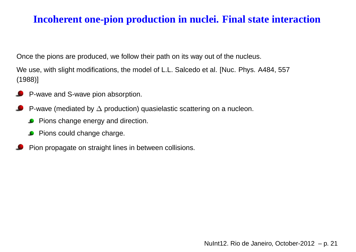## **Incoherent one-pion production in nuclei. Final state interaction**

Once the pions are produced, we follow their path on its way out of the nucleus.

We use, with slight modifications, the model of L.L. Salcedo et al. [Nuc. Phys. A484, <sup>557</sup>(1988)]

- P-wave and S-wave pion absorption.
- P-wave (mediated by  $\Delta$  production) quasielastic scattering on a nucleon.
	- Pions change energy and direction.  $\bullet$
	- **Pions could change charge.**
- Pion propagate on straight lines in between collisions.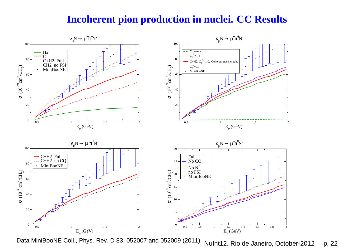### **Incoherent pion production in nuclei. CC Results**



Data MiniBooNE Coll., Phys. Rev. D 83, 052007 and 052009 (2011)NuInt12. Rio de Janeiro, October-2012 – p. <sup>22</sup>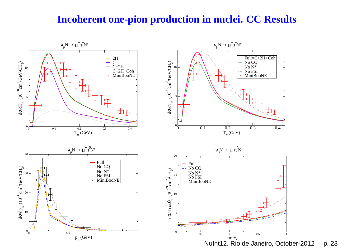### **Incoherent one-pion production in nuclei. CC Results**

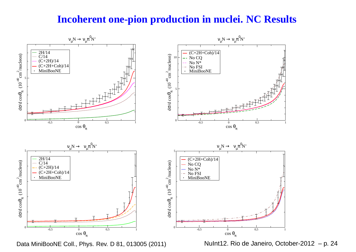#### **Incoherent one-pion production in nuclei. NC Results**



Data MiniBooNE Coll., Phys. Rev. D 81, 013005 (2011)

NuInt12. Rio de Janeiro, October-2012 – p. <sup>24</sup>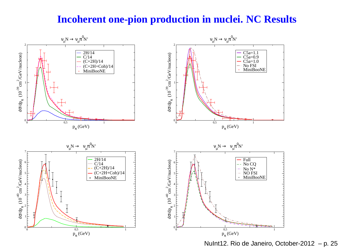#### **Incoherent one-pion production in nuclei. NC Results**



NuInt12. Rio de Janeiro, October-2012 – p. 25